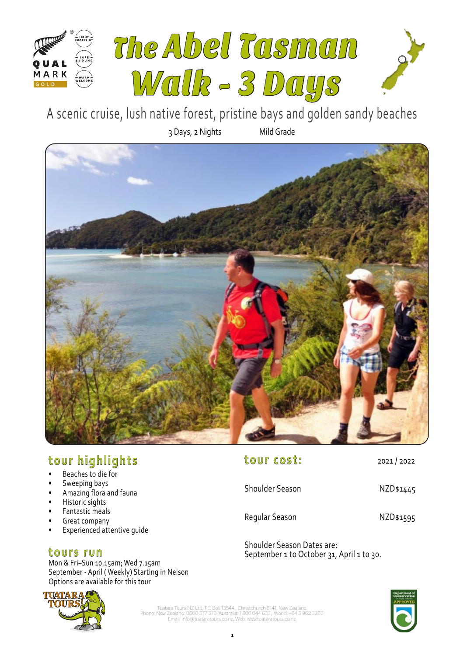

3 Days, 2 Nights Mild Grade A scenic cruise, lush native forest, pristine bays and golden sandy beaches



# **tour highlights**

- Beaches to die for
- Sweeping bays
- Amazing flora and fauna
- Historic sights
- Fantastic meals
- Great company
- Experienced attentive quide

# **tours run**

Mon & Fri–Sun 10.15am; Wed 7.15am September - April ( Weekly) Starting in Nelson Options are available for this tour



| <b>Shoulder Season</b> | NZD\$1445 |
|------------------------|-----------|
| Regular Season         | NZD\$1595 |

Shoulder Season Dates are: September 1 to October 31, April 1 to 30.

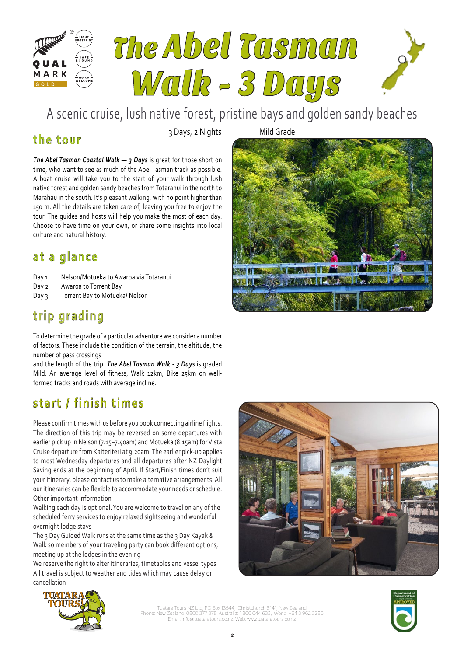

# **the tour**

3 Days, 2 Nights Mild Grade

*The Abel Tasman Coastal Walk — 3 Days* is great for those short on time, who want to see as much of the Abel Tasman track as possible. A boat cruise will take you to the start of your walk through lush native forest and golden sandy beaches from Totaranui in the north to Marahau in the south. It's pleasant walking, with no point higher than 150 m. All the details are taken care of, leaving you free to enjoy the tour. The guides and hosts will help you make the most of each day. Choose to have time on your own, or share some insights into local culture and natural history.

# **at a glance**

- Day 1 Nelson/Motueka to Awaroa via Totaranui
- Day 2 Awaroa to Torrent Bay
- Day 3 Torrent Bay to Motueka/ Nelson

# **trip grading**

To determine the grade of a particular adventure we consider a number of factors. These include the condition of the terrain, the altitude, the number of pass crossings

and the length of the trip. *The Abel Tasman Walk - 3 Days* is graded Mild: An average level of fitness, Walk 12km, Bike 25km on wellformed tracks and roads with average incline.

# **start / finish times**

Please confirm times with us before you book connecting airline flights. The direction of this trip may be reversed on some departures with earlier pick up in Nelson (7.15–7.40am) and Motueka (8.15am) for Vista Cruise departure from Kaiteriteri at 9.20am. The earlier pick-up applies to most Wednesday departures and all departures after NZ Daylight Saving ends at the beginning of April. If Start/Finish times don't suit your itinerary, please contact us to make alternative arrangements. All our itineraries can be flexible to accommodate your needs or schedule. Other important information

Walking each day is optional. You are welcome to travel on any of the scheduled ferry services to enjoy relaxed sightseeing and wonderful overnight lodge stays

The 3 Day Guided Walk runs at the same time as the 3 Day Kayak & Walk so members of your traveling party can book different options, meeting up at the lodges in the evening

We reserve the right to alter itineraries, timetables and vessel types All travel is subject to weather and tides which may cause delay or cancellation





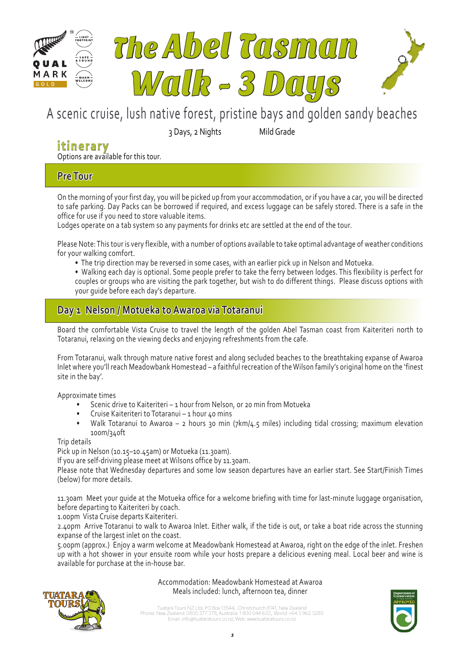

3 Days, 2 Nights Mild Grade

# **itinerary**

Options are available for this tour.

# **Pre Tour**

On the morning of your first day, you will be picked up from your accommodation, or if you have a car, you will be directed to safe parking. Day Packs can be borrowed if required, and excess luggage can be safely stored. There is a safe in the office for use if you need to store valuable items.

Lodges operate on a tab system so any payments for drinks etc are settled at the end of the tour.

Please Note: This tour is very flexible, with a number of options available to take optimal advantage of weather conditions for your walking comfort.

- The trip direction may be reversed in some cases, with an earlier pick up in Nelson and Motueka.
- Walking each day is optional. Some people prefer to take the ferry between lodges. This flexibility is perfect for couples or groups who are visiting the park together, but wish to do different things. Please discuss options with your guide before each day's departure.

# **Day 1 Nelson / Motueka to Awaroa via Totaranui**

Board the comfortable Vista Cruise to travel the length of the golden Abel Tasman coast from Kaiteriteri north to Totaranui, relaxing on the viewing decks and enjoying refreshments from the cafe.

From Totaranui, walk through mature native forest and along secluded beaches to the breathtaking expanse of Awaroa Inlet where you'll reach Meadowbank Homestead – a faithful recreation of the Wilson family's original home on the 'finest site in the bay'.

Approximate times

- Scenic drive to Kaiteriteri 1 hour from Nelson, or 20 min from Motueka
- Cruise Kaiteriteri to Totaranui 1 hour 40 mins
- Walk Totaranui to Awaroa 2 hours 30 min (7km/4.5 miles) including tidal crossing; maximum elevation 100m/340ft

Trip details

Pick up in Nelson (10.15–10.45am) or Motueka (11.30am).

If you are self-driving please meet at Wilsons office by 11.30am.

Please note that Wednesday departures and some low season departures have an earlier start. See Start/Finish Times (below) for more details.

11.30am Meet your guide at the Motueka office for a welcome briefing with time for last-minute luggage organisation, before departing to Kaiteriteri by coach.

1.00pm Vista Cruise departs Kaiteriteri.

2.40pm Arrive Totaranui to walk to Awaroa Inlet. Either walk, if the tide is out, or take a boat ride across the stunning expanse of the largest inlet on the coast.

5.00pm (approx.) Enjoy a warm welcome at Meadowbank Homestead at Awaroa, right on the edge of the inlet. Freshen up with a hot shower in your ensuite room while your hosts prepare a delicious evening meal. Local beer and wine is available for purchase at the in-house bar.



Accommodation: Meadowbank Homestead at Awaroa Meals included: lunch, afternoon tea, dinner

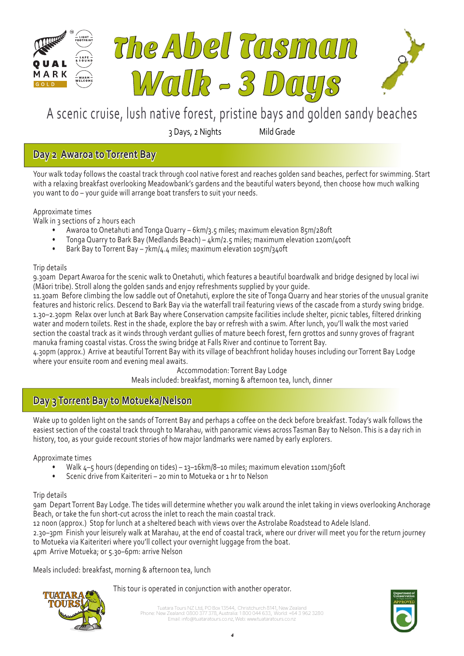

3 Days, 2 Nights Mild Grade

# **Day 2 Awaroa to Torrent Bay**

Your walk today follows the coastal track through cool native forest and reaches golden sand beaches, perfect for swimming. Start with a relaxing breakfast overlooking Meadowbank's gardens and the beautiful waters beyond, then choose how much walking you want to do – your guide will arrange boat transfers to suit your needs.

Approximate times

Walk in 3 sections of 2 hours each

- Awaroa to Onetahuti and Tonga Quarry 6km/3.5 miles; maximum elevation 85m/280ft
- Tonga Quarry to Bark Bay (Medlands Beach) 4km/2.5 miles; maximum elevation 120m/400ft
- Bark Bay to Torrent Bay 7km/4.4 miles; maximum elevation 105m/340ft

## Trip details

9.30am Depart Awaroa for the scenic walk to Onetahuti, which features a beautiful boardwalk and bridge designed by local iwi (Māori tribe). Stroll along the golden sands and enjoy refreshments supplied by your guide.

11.30am Before climbing the low saddle out of Onetahuti, explore the site of Tonga Quarry and hear stories of the unusual granite features and historic relics. Descend to Bark Bay via the waterfall trail featuring views of the cascade from a sturdy swing bridge. 1.30–2.30pm Relax over lunch at Bark Bay where Conservation campsite facilities include shelter, picnic tables, filtered drinking water and modern toilets. Rest in the shade, explore the bay or refresh with a swim. After lunch, you'll walk the most varied section the coastal track as it winds through verdant gullies of mature beech forest, fern grottos and sunny groves of fragrant manuka framing coastal vistas. Cross the swing bridge at Falls River and continue to Torrent Bay.

4.30pm (approx.) Arrive at beautiful Torrent Bay with its village of beachfront holiday houses including our Torrent Bay Lodge where your ensuite room and evening meal awaits.

> Accommodation: Torrent Bay Lodge Meals included: breakfast, morning & afternoon tea, lunch, dinner

# **Day 3 Torrent Bay to Motueka/Nelson**

Wake up to golden light on the sands of Torrent Bay and perhaps a coffee on the deck before breakfast. Today's walk follows the easiest section of the coastal track through to Marahau, with panoramic views across Tasman Bay to Nelson. This is a day rich in history, too, as your guide recount stories of how major landmarks were named by early explorers.

Approximate times

- Walk 4–5 hours (depending on tides) 13–16km/8–10 miles; maximum elevation 110m/360ft
- Scenic drive from Kaiteriteri 20 min to Motueka or 1 hr to Nelson

### Trip details

9am Depart Torrent Bay Lodge. The tides will determine whether you walk around the inlet taking in views overlooking Anchorage Beach, or take the fun short-cut across the inlet to reach the main coastal track.

12 noon (approx.) Stop for lunch at a sheltered beach with views over the Astrolabe Roadstead to Adele Island.

2.30–3pm Finish your leisurely walk at Marahau, at the end of coastal track, where our driver will meet you for the return journey to Motueka via Kaiteriteri where you'll collect your overnight luggage from the boat.

4pm Arrive Motueka; or 5.30–6pm: arrive Nelson

Meals included: breakfast, morning & afternoon tea, lunch

This tour is operated in conjunction with another operator.



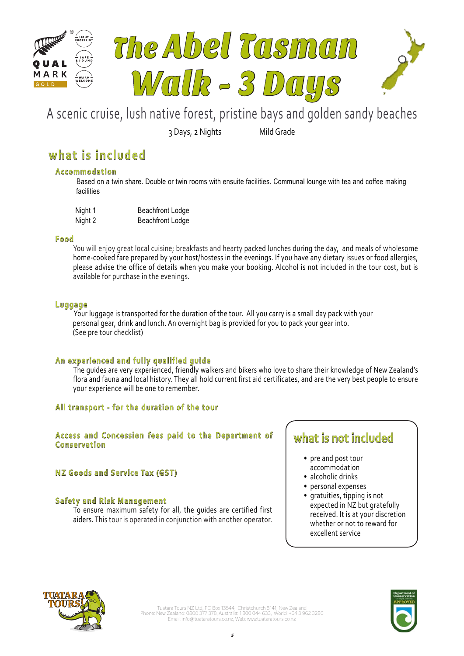

3 Days, 2 Nights Mild Grade

# **what is included**

## **Accommodation**

 Based on a twin share. Double or twin rooms with ensuite facilities. Communal lounge with tea and coffee making facilities

| Night 1 | <b>Beachfront Lodge</b> |
|---------|-------------------------|
| Night 2 | <b>Beachfront Lodge</b> |

### **Food**

You will enjoy great local cuisine; breakfasts and hearty packed lunches during the day, and meals of wholesome home-cooked fare prepared by your host/hostess in the evenings. If you have any dietary issues or food allergies, please advise the office of details when you make your booking. Alcohol is not included in the tour cost, but is available for purchase in the evenings.

### **Luggage**

Your luggage is transported for the duration of the tour. All you carry is a small day pack with your personal gear, drink and lunch. An overnight bag is provided for you to pack your gear into. (See pre tour checklist)

## **An experienced and fully qualified guide**

The guides are very experienced, friendly walkers and bikers who love to share their knowledge of New Zealand's flora and fauna and local history. They all hold current first aid certificates, and are the very best people to ensure your experience will be one to remember.

## **All transport - for the duration of the tour**

### **Access and Concession fees paid to the Department of Conservation**

## **NZ Goods and Service Tax (GST)**

## **Safety and Risk Management**

To ensure maximum safety for all, the guides are certified first aiders. This tour is operated in conjunction with another operator.

# **what is not included**

- pre and post tour accommodation
- alcoholic drinks
- personal expenses
- gratuities, tipping is not expected in NZ but gratefully received. It is at your discretion whether or not to reward for excellent service



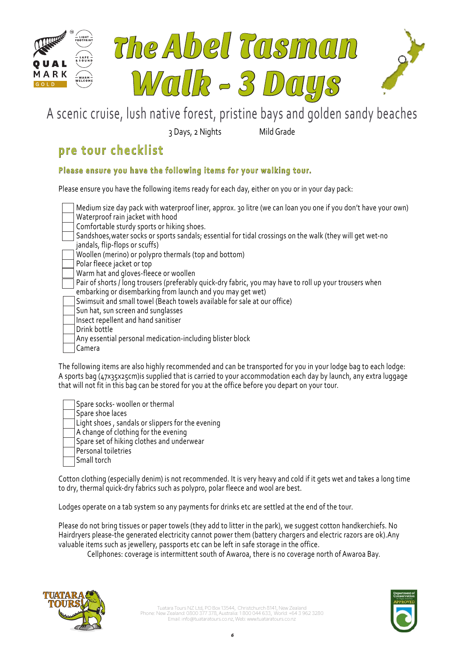

3 Days, 2 Nights Mild Grade

# **pre tour checklist**

# **Please ensure you have the following items for your walking tour.**

Please ensure you have the following items ready for each day, either on you or in your day pack:

Medium size day pack with waterproof liner, approx. 30 litre (we can loan you one if you don't have your own) Waterproof rain jacket with hood Comfortable sturdy sports or hiking shoes. Sandshoes,water socks or sports sandals; essential for tidal crossings on the walk (they will get wet-no jandals, flip-flops or scuffs) Woollen (merino) or polypro thermals (top and bottom) Polar fleece jacket or top Warm hat and gloves-fleece or woollen Pair of shorts / long trousers (preferably quick-dry fabric, you may have to roll up your trousers when embarking or disembarking from launch and you may get wet) Swimsuit and small towel (Beach towels available for sale at our office)

Sun hat, sun screen and sunglasses

Insect repellent and hand sanitiser

Drink bottle

Any essential personal medication-including blister block

Camera

The following items are also highly recommended and can be transported for you in your lodge bag to each lodge: A sports bag (47x35x25cm)is supplied that is carried to your accommodation each day by launch, any extra luggage that will not fit in this bag can be stored for you at the office before you depart on your tour.

Spare socks- woollen or thermal Spare shoe laces Light shoes , sandals or slippers for the evening A change of clothing for the evening Spare set of hiking clothes and underwear Personal toiletries Small torch

Cotton clothing (especially denim) is not recommended. It is very heavy and cold if it gets wet and takes a long time to dry, thermal quick-dry fabrics such as polypro, polar fleece and wool are best.

Lodges operate on a tab system so any payments for drinks etc are settled at the end of the tour.

Please do not bring tissues or paper towels (they add to litter in the park), we suggest cotton handkerchiefs. No Hairdryers please-the generated electricity cannot power them (battery chargers and electric razors are ok).Any valuable items such as jewellery, passports etc can be left in safe storage in the office.

Cellphones: coverage is intermittent south of Awaroa, there is no coverage north of Awaroa Bay.



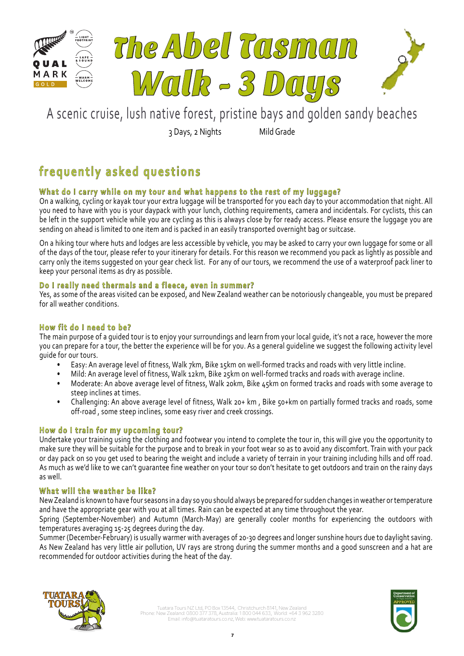

3 Days, 2 Nights Mild Grade

# **frequently asked questions**

# **What do I carry while on my tour and what happens to the rest of my luggage?**

On a walking, cycling or kayak tour your extra luggage will be transported for you each day to your accommodation that night. All you need to have with you is your daypack with your lunch, clothing requirements, camera and incidentals. For cyclists, this can be left in the support vehicle while you are cycling as this is always close by for ready access. Please ensure the luggage you are sending on ahead is limited to one item and is packed in an easily transported overnight bag or suitcase.

On a hiking tour where huts and lodges are less accessible by vehicle, you may be asked to carry your own luggage for some or all of the days of the tour, please refer to your itinerary for details. For this reason we recommend you pack as lightly as possible and carry only the items suggested on your gear check list. For any of our tours, we recommend the use of a waterproof pack liner to keep your personal items as dry as possible.

## **Do I really need thermals and a fleece, even in summer?**

Yes, as some of the areas visited can be exposed, and New Zealand weather can be notoriously changeable, you must be prepared for all weather conditions.

## **How fit do I need to be?**

The main purpose of a guided tour is to enjoy your surroundings and learn from your local guide, it's not a race, however the more you can prepare for a tour, the better the experience will be for you. As a general guideline we suggest the following activity level guide for our tours.

- Easy: An average level of fitness, Walk 7km, Bike 15km on well-formed tracks and roads with very little incline.
- Mild: An average level of fitness, Walk 12km, Bike 25km on well-formed tracks and roads with average incline.
- Moderate: An above average level of fitness, Walk 20km, Bike 45km on formed tracks and roads with some average to steep inclines at times.
- Challenging: An above average level of fitness, Walk 20+ km , Bike 50+km on partially formed tracks and roads, some off-road , some steep inclines, some easy river and creek crossings.

# **How do I train for my upcoming tour?**

Undertake your training using the clothing and footwear you intend to complete the tour in, this will give you the opportunity to make sure they will be suitable for the purpose and to break in your foot wear so as to avoid any discomfort. Train with your pack or day pack on so you get used to bearing the weight and include a variety of terrain in your training including hills and off road. As much as we'd like to we can't guarantee fine weather on your tour so don't hesitate to get outdoors and train on the rainy days as well.

## **What will the weather be like?**

New Zealand is known to have four seasons in a day so you should always be prepared for sudden changes in weather or temperature and have the appropriate gear with you at all times. Rain can be expected at any time throughout the year.

Spring (September-November) and Autumn (March-May) are generally cooler months for experiencing the outdoors with temperatures averaging 15-25 degrees during the day.

Summer (December-February) is usually warmer with averages of 20-30 degrees and longer sunshine hours due to daylight saving. As New Zealand has very little air pollution, UV rays are strong during the summer months and a good sunscreen and a hat are recommended for outdoor activities during the heat of the day.



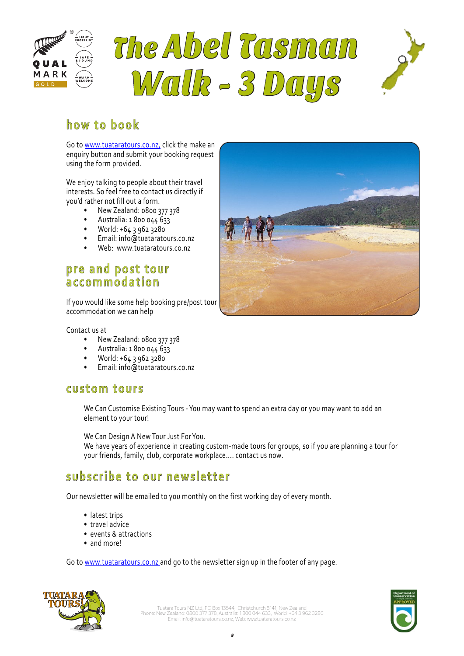

# The Abel Tasman Walk - 3 Days



## A scenic cruise, lush native forest, pristine bays and golden sandy beaches **how to book**

Go to www.tuataratours.co.nz, click the make an enquiry button and submit your booking request using the form provided.

We enjoy talking to people about their travel interests. So feel free to contact us directly if you'd rather not fill out a form.

- New Zealand: 0800 377 378
- Australia: 1 800 044 633
- World: +64 3 962 3280
- Email: info@tuataratours.co.nz
- Web: www.tuataratours.co.nz

# **pre and post tour accommodation**

If you would like some help booking pre/post tour accommodation we can help

### Contact us at

- New Zealand: 0800 377 378
- Australia: 1 800 044 633
- World: +64 3 962 3280
- Email: info@tuataratours.co.nz

# **custom tours**

We Can Customise Existing Tours - You may want to spend an extra day or you may want to add an element to your tour!

We Can Design A New Tour Just For You.

We have years of experience in creating custom-made tours for groups, so if you are planning a tour for your friends, family, club, corporate workplace.... contact us now.

# **subscribe to our newsletter**

Our newsletter will be emailed to you monthly on the first working day of every month.

- latest trips
- travel advice
- events & attractions
- and more!

Go to www.tuataratours.co.nz and go to the newsletter sign up in the footer of any page.





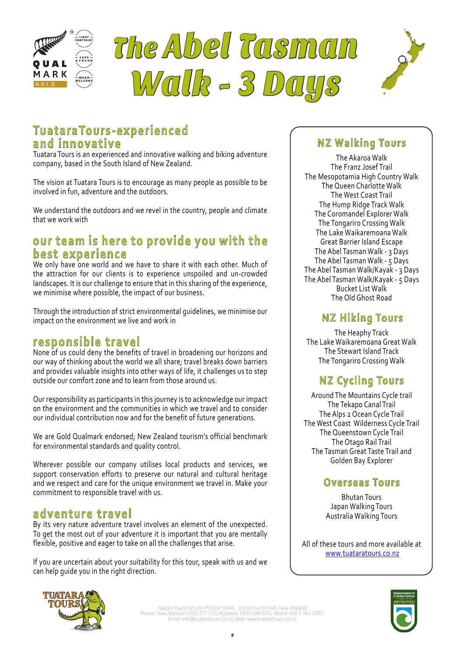





# 3 Days, 2 Nights Mild Grade **TuataraTours-experienced and innovative**

Tuatara Tours is an experienced and innovative walking and biking adventure company, based in the South Island of New Zealand.

The vision at Tuatara Tours is to encourage as many people as possible to be involved in fun, adventure and the outdoors.

We understand the outdoors and we revel in the country, people and climate that we work with

# our team is here to provide you with the **best experience**

We only have one world and we have to share it with each other. Much of the attraction for our clients is to experience unspoiled and un-crowded landscapes. It is our challenge to ensure that in this sharing of the experience, we minimise where possible, the impact of our business.

Through the introduction of strict environmental guidelines, we minimise our impact on the environment we live and work in

# **responsible travel**

None of us could deny the benefits of travel in broadening our horizons and our way of thinking about the world we all share; travel breaks down barriers and provides valuable insights into other ways of life, it challenges us to step outside our comfort zone and to learn from those around us.

Our responsibility as participants in this journey is to acknowledge our impact on the environment and the communities in which we travel and to consider our individual contribution now and for the benefit of future generations.

We are Gold Qualmark endorsed; New Zealand tourism's official benchmark for environmental standards and quality control.

Wherever possible our company utilises local products and services, we support conservation efforts to preserve our natural and cultural heritage and we respect and care for the unique environment we travel in. Make your commitment to responsible travel with us.

# **adventure travel**

By its very nature adventure travel involves an element of the unexpected. To get the most out of your adventure it is important that you are mentally flexible, positive and eager to take on all the challenges that arise.

If you are uncertain about your suitability for this tour, speak with us and we can help guide you in the right direction.

# **NZ Walking Tours**

The Akaroa Walk The Franz Josef Trail The Mesopotamia High Country Walk The Queen Charlotte Walk The West Coast Trail The Hump Ridge Track Walk The Coromandel Explorer Walk The Tongariro Crossing Walk The Lake Waikaremoana Walk Great Barrier Island Escape The Abel Tasman Walk - 3 Days The Abel Tasman Walk - 5 Days The Abel Tasman Walk/Kayak - 3 Days The Abel Tasman Walk/Kayak - 5 Days Bucket List Walk The Old Ghost Road

# **NZ Hiking Tours**

The Heaphy Track The Lake Waikaremoana Great Walk The Stewart Island Track The Tongariro Crossing Walk

# **NZ Cycling Tours**

Around The Mountains Cycle trail The Tekapo Canal Trail The Alps 2 Ocean Cycle Trail The West Coast Wilderness Cycle Trail The Queenstown Cycle Trail The Otago Rail Trail The Tasman Great Taste Trail and Golden Bay Explorer

# **Overseas Tours**

Bhutan Tours Japan Walking Tours Australia Walking Tours

All of these tours and more available at www.tuataratours.co.nz



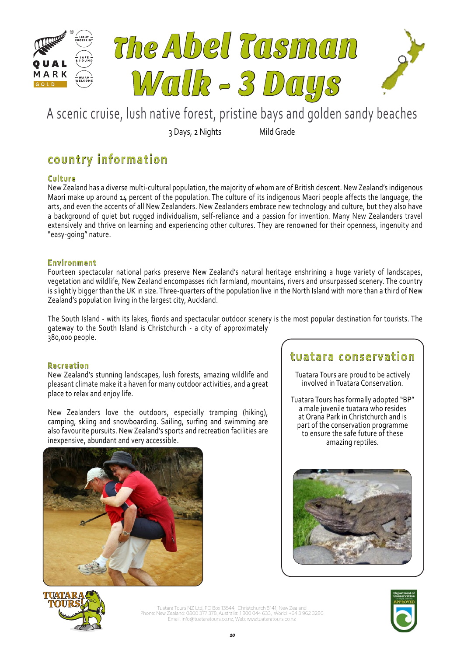

3 Days, 2 Nights Mild Grade

# **country information**

## **Culture**

New Zealand has a diverse multi-cultural population, the majority of whom are of British descent. New Zealand's indigenous Maori make up around 14 percent of the population. The culture of its indigenous Maori people affects the language, the arts, and even the accents of all New Zealanders. New Zealanders embrace new technology and culture, but they also have a background of quiet but rugged individualism, self-reliance and a passion for invention. Many New Zealanders travel extensively and thrive on learning and experiencing other cultures. They are renowned for their openness, ingenuity and "easy-going" nature.

## **Environment**

Fourteen spectacular national parks preserve New Zealand's natural heritage enshrining a huge variety of landscapes, vegetation and wildlife, New Zealand encompasses rich farmland, mountains, rivers and unsurpassed scenery. The country is slightly bigger than the UK in size. Three-quarters of the population live in the North Island with more than a third of New Zealand's population living in the largest city, Auckland.

The South Island - with its lakes, fiords and spectacular outdoor scenery is the most popular destination for tourists. The gateway to the South Island is Christchurch - a city of approximately 380,000 people.

## **Recreation**

New Zealand's stunning landscapes, lush forests, amazing wildlife and pleasant climate make it a haven for many outdoor activities, and a great place to relax and enjoy life.

New Zealanders love the outdoors, especially tramping (hiking), camping, skiing and snowboarding. Sailing, surfing and swimming are also favourite pursuits. New Zealand's sports and recreation facilities are inexpensive, abundant and very accessible.



# **tuatara conservation**

Tuatara Tours are proud to be actively involved in Tuatara Conservation.

Tuatara Tours has formally adopted "BP" a male juvenile tuatara who resides at Orana Park in Christchurch and is part of the conservation programme to ensure the safe future of these amazing reptiles.